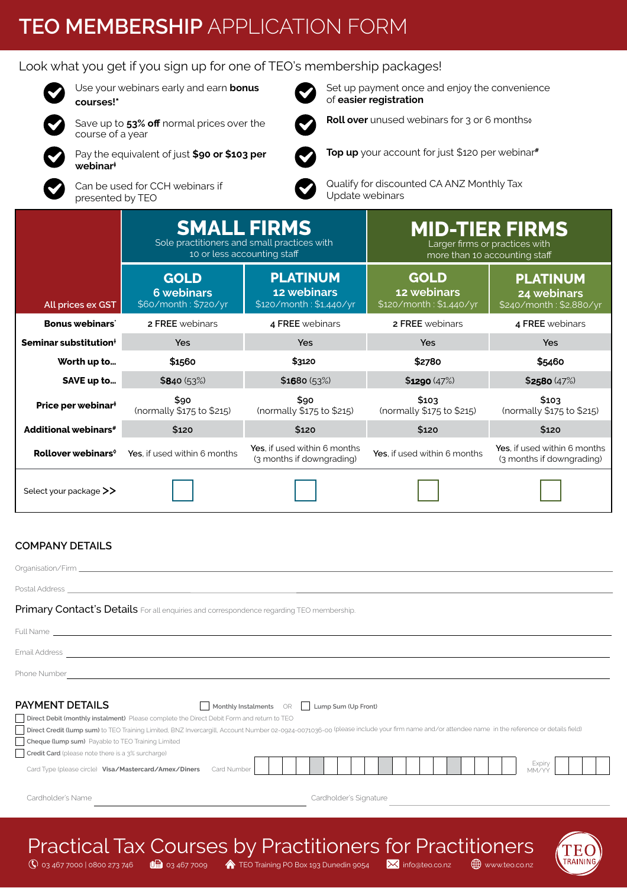# **TEO MEMBERSHIP** APPLICATION FORM

#### Look what you get if you sign up for one of TEO's membership packages!



Use your webinars early and earn **bonus** 



**courses!\*** Save up to 53% off normal prices over the



Pay the equivalent of just **\$90 or \$103 per webinar‡**

Can be used for CCH webinars if presented by TEO

course of a year

Set up payment once and enjoy the convenience of **easier registration Roll over** unused webinars for 3 or 6 months<sup>ø</sup>

**Top up** your account for just \$120 per webinar**#**



Qualify for discounted CA ANZ Monthly Tax Update webinars

|                                   | <b>SMALL FIRMS</b><br>Sole practitioners and small practices with | 10 or less accounting staff                               |                                                       | <b>MID-TIER FIRMS</b><br>Larger firms or practices with<br>more than 10 accounting staff |  |  |  |
|-----------------------------------|-------------------------------------------------------------------|-----------------------------------------------------------|-------------------------------------------------------|------------------------------------------------------------------------------------------|--|--|--|
| All prices ex GST                 | <b>GOLD</b><br><b>6 webinars</b><br>\$60/month: \$720/yr          | <b>PLATINUM</b><br>12 webinars<br>\$120/month: \$1,440/yr | <b>GOLD</b><br>12 webinars<br>\$120/month: \$1,440/yr | <b>PLATINUM</b><br>24 webinars<br>\$240/month: \$2,880/yr                                |  |  |  |
| <b>Bonus webinars</b>             | 2 FREE webinars                                                   | 4 FREE webinars                                           | <b>2 FREE</b> webinars                                | 4 FREE webinars                                                                          |  |  |  |
| Seminar substitution <sup>+</sup> | <b>Yes</b>                                                        | Yes                                                       | Yes                                                   | <b>Yes</b>                                                                               |  |  |  |
| Worth up to                       | \$1560                                                            | \$3120                                                    | \$2780                                                | \$5460                                                                                   |  |  |  |
| SAVE up to                        | \$840 (53%)                                                       | \$1680 (53%)                                              | \$1290 (47%)                                          | \$2580(47%)                                                                              |  |  |  |
| Price per webinar <sup>#</sup>    | \$90<br>(normally \$175 to \$215)                                 | \$90<br>(normally \$175 to \$215)                         | \$103<br>(normally \$175 to \$215)                    | \$103<br>(normally \$175 to \$215)                                                       |  |  |  |
| <b>Additional webinars#</b>       | \$120                                                             | \$120                                                     | \$120                                                 | \$120                                                                                    |  |  |  |
| Rollover webinars <sup>®</sup>    | Yes, if used within 6 months                                      | Yes. if used within 6 months<br>(3 months if downgrading) | Yes, if used within 6 months                          | Yes. if used within 6 months<br>(3 months if downgrading)                                |  |  |  |
| Select your package >>            |                                                                   |                                                           |                                                       |                                                                                          |  |  |  |

#### **COMPANY DETAILS**

| Primary Contact's Details For all enquiries and correspondence regarding TEO membership.                                                                                                                                                                                                                                                                                                                                                                                                                                                              |                        |
|-------------------------------------------------------------------------------------------------------------------------------------------------------------------------------------------------------------------------------------------------------------------------------------------------------------------------------------------------------------------------------------------------------------------------------------------------------------------------------------------------------------------------------------------------------|------------------------|
| Full Name and the contract of the contract of the contract of the contract of the contract of the contract of                                                                                                                                                                                                                                                                                                                                                                                                                                         |                        |
|                                                                                                                                                                                                                                                                                                                                                                                                                                                                                                                                                       |                        |
| Phone Number<br>and the control of the control of the control of the control of the control of the control of the control of the                                                                                                                                                                                                                                                                                                                                                                                                                      |                        |
| <b>PAYMENT DETAILS</b><br>Monthly Instalments OR   Lump Sum (Up Front)<br>Direct Debit (monthly instalment) Please complete the Direct Debit Form and return to TEO<br>Direct Credit (lump sum) to TEO Training Limited, BNZ Invercargill, Account Number 02-0924-0071036-00 (please include your firm name and/or attendee name in the reference or details field)<br>Cheque (lump sum) Payable to TEO Training Limited<br>Credit Card (please note there is a 3% surcharge)<br>Card Type (please circle) Visa/Mastercard/Amex/Diners<br>Card Number | Expiry<br>MM/YY        |
| Cardholder's Name                                                                                                                                                                                                                                                                                                                                                                                                                                                                                                                                     | Cardholder's Signature |
|                                                                                                                                                                                                                                                                                                                                                                                                                                                                                                                                                       |                        |



 $\circ$  03 467 7000 | 0800 273 746  $\bullet$  **U**a 03 467 7009  $\bullet$  TEO Training PO Box 193 Dunedin 9054  $\bullet$  info@teo.co.nz  $\bullet$   $\bullet$  www.teo.co.nz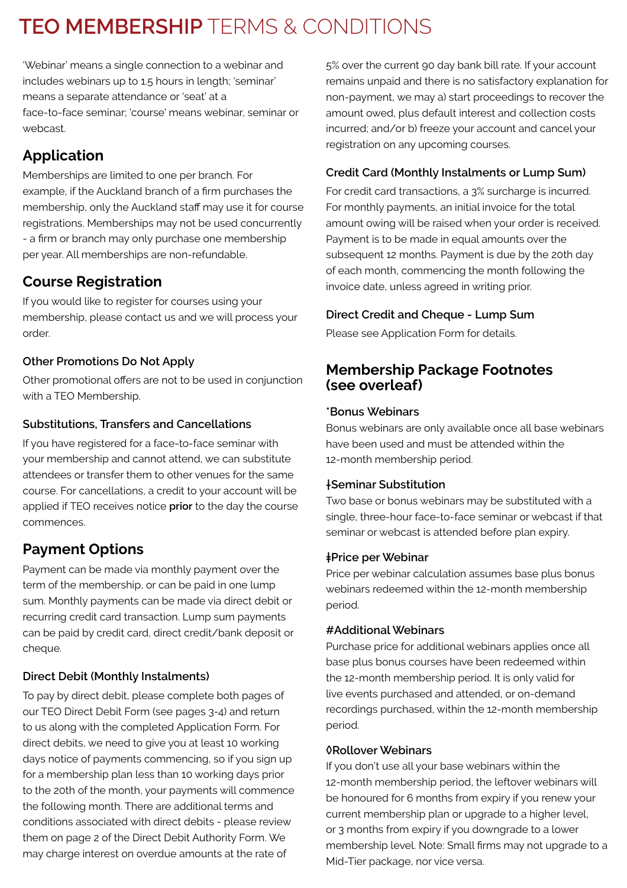# **TEO MEMBERSHIP** TERMS & CONDITIONS

'Webinar' means a single connection to a webinar and includes webinars up to 1.5 hours in length; 'seminar' means a separate attendance or 'seat' at a face-to-face seminar; 'course' means webinar, seminar or webcast.

# **Application**

Memberships are limited to one per branch. For example, if the Auckland branch of a firm purchases the membership, only the Auckland staff may use it for course registrations. Memberships may not be used concurrently - a firm or branch may only purchase one membership per year. All memberships are non-refundable.

# **Course Registration**

If you would like to register for courses using your membership, please contact us and we will process your order.

### **Other Promotions Do Not Apply**

Other promotional offers are not to be used in conjunction with a TEO Membership.

### **Substitutions, Transfers and Cancellations**

If you have registered for a face-to-face seminar with your membership and cannot attend, we can substitute attendees or transfer them to other venues for the same course. For cancellations, a credit to your account will be applied if TEO receives notice **prior** to the day the course commences.

# **Payment Options**

Payment can be made via monthly payment over the term of the membership, or can be paid in one lump sum. Monthly payments can be made via direct debit or recurring credit card transaction. Lump sum payments can be paid by credit card, direct credit/bank deposit or cheque.

## **Direct Debit (Monthly Instalments)**

To pay by direct debit, please complete both pages of our TEO Direct Debit Form (see pages 3-4) and return to us along with the completed Application Form. For direct debits, we need to give you at least 10 working days notice of payments commencing, so if you sign up for a membership plan less than 10 working days prior to the 20th of the month, your payments will commence the following month. There are additional terms and conditions associated with direct debits - please review them on page 2 of the Direct Debit Authority Form. We may charge interest on overdue amounts at the rate of

5% over the current 90 day bank bill rate. If your account remains unpaid and there is no satisfactory explanation for non-payment, we may a) start proceedings to recover the amount owed, plus default interest and collection costs incurred; and/or b) freeze your account and cancel your registration on any upcoming courses.

### **Credit Card (Monthly Instalments or Lump Sum)**

For credit card transactions, a 3% surcharge is incurred. For monthly payments, an initial invoice for the total amount owing will be raised when your order is received. Payment is to be made in equal amounts over the subsequent 12 months. Payment is due by the 20th day of each month, commencing the month following the invoice date, unless agreed in writing prior.

### **Direct Credit and Cheque - Lump Sum**

Please see Application Form for details.

## **Membership Package Footnotes (see overleaf)**

#### **\*Bonus Webinars**

Bonus webinars are only available once all base webinars have been used and must be attended within the 12-month membership period.

#### **†Seminar Substitution**

Two base or bonus webinars may be substituted with a single, three-hour face-to-face seminar or webcast if that seminar or webcast is attended before plan expiry.

#### **‡Price per Webinar**

Price per webinar calculation assumes base plus bonus webinars redeemed within the 12-month membership period.

#### **#Additional Webinars**

Purchase price for additional webinars applies once all base plus bonus courses have been redeemed within the 12-month membership period. It is only valid for live events purchased and attended, or on-demand recordings purchased, within the 12-month membership period.

#### *<u>ORollover Webinars</u>*

If you don't use all your base webinars within the 12-month membership period, the leftover webinars will be honoured for 6 months from expiry if you renew your current membership plan or upgrade to a higher level, or 3 months from expiry if you downgrade to a lower membership level. Note: Small firms may not upgrade to a Mid-Tier package, nor vice versa.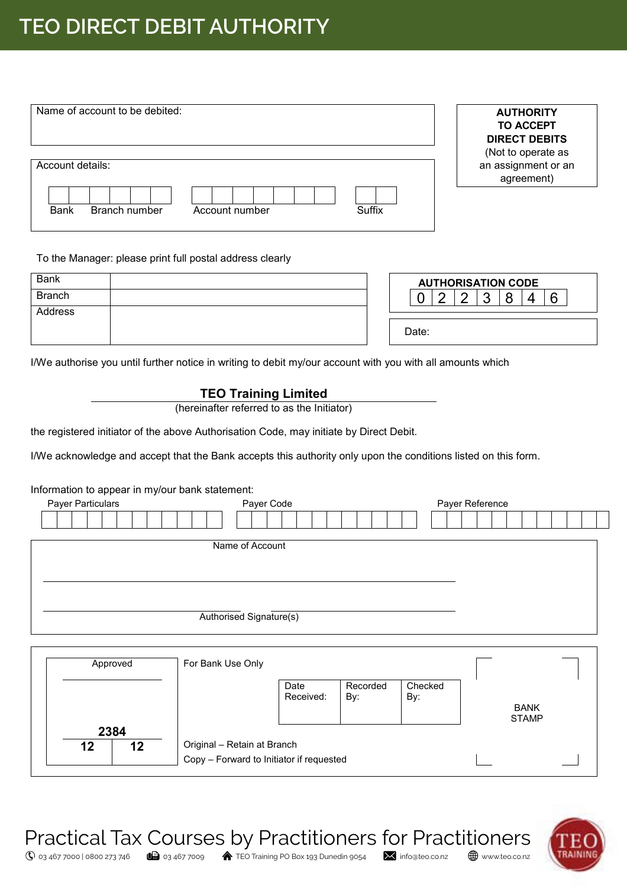# **TEO DIRECT DEBIT AUTHORITY**

| Name of account to be debited:                           | <b>AUTHORITY</b><br><b>TO ACCEPT</b><br><b>DIRECT DEBITS</b><br>(Not to operate as |
|----------------------------------------------------------|------------------------------------------------------------------------------------|
| Account details:                                         | an assignment or an<br>agreement)                                                  |
| Suffix<br><b>Bank</b><br>Branch number<br>Account number |                                                                                    |

#### To the Manager: please print full postal address clearly

| <b>Bank</b>   |  | <b>AUTHORISATION CODE</b> |        |  |  |  |  |   |  |
|---------------|--|---------------------------|--------|--|--|--|--|---|--|
| <b>Branch</b> |  |                           | ⌒<br>_ |  |  |  |  | G |  |
| Address       |  |                           |        |  |  |  |  |   |  |
|               |  | Date:                     |        |  |  |  |  |   |  |

I/We authorise you until further notice in writing to debit my/our account with you with all amounts which

#### **TEO Training Limited**

(hereinafter referred to as the Initiator)

the registered initiator of the above Authorisation Code, may initiate by Direct Debit.

I/We acknowledge and accept that the Bank accepts this authority only upon the conditions listed on this form.

#### Information to appear in my/our bank statement:

| Payer Particulars | Payer Code              | Payer Reference |
|-------------------|-------------------------|-----------------|
|                   |                         |                 |
|                   | Name of Account         |                 |
|                   | Authorised Signature(s) |                 |

| Approved         | For Bank Use Only                                                       |                   |                 |                |                             |  |
|------------------|-------------------------------------------------------------------------|-------------------|-----------------|----------------|-----------------------------|--|
|                  |                                                                         | Date<br>Received: | Recorded<br>By: | Checked<br>By: | <b>BANK</b><br><b>STAMP</b> |  |
| 2384<br>12<br>12 | Original - Retain at Branch<br>Copy - Forward to Initiator if requested |                   |                 |                |                             |  |



 $\overline{\mathbb{Q}}$  03 467 7000 | 0800 273 746  $\overline{\mathbb{G}}$  03 467 7009  $\overline{\mathbb{A}}$  TEO Training PO Box 193 Dunedin 9054  $\overline{\mathbb{M}}$  info@teo.co.nz  $\overline{\mathbb{B}}$  www.teo.co.nz

Practical Tax Courses by Practitioners for Practitioners